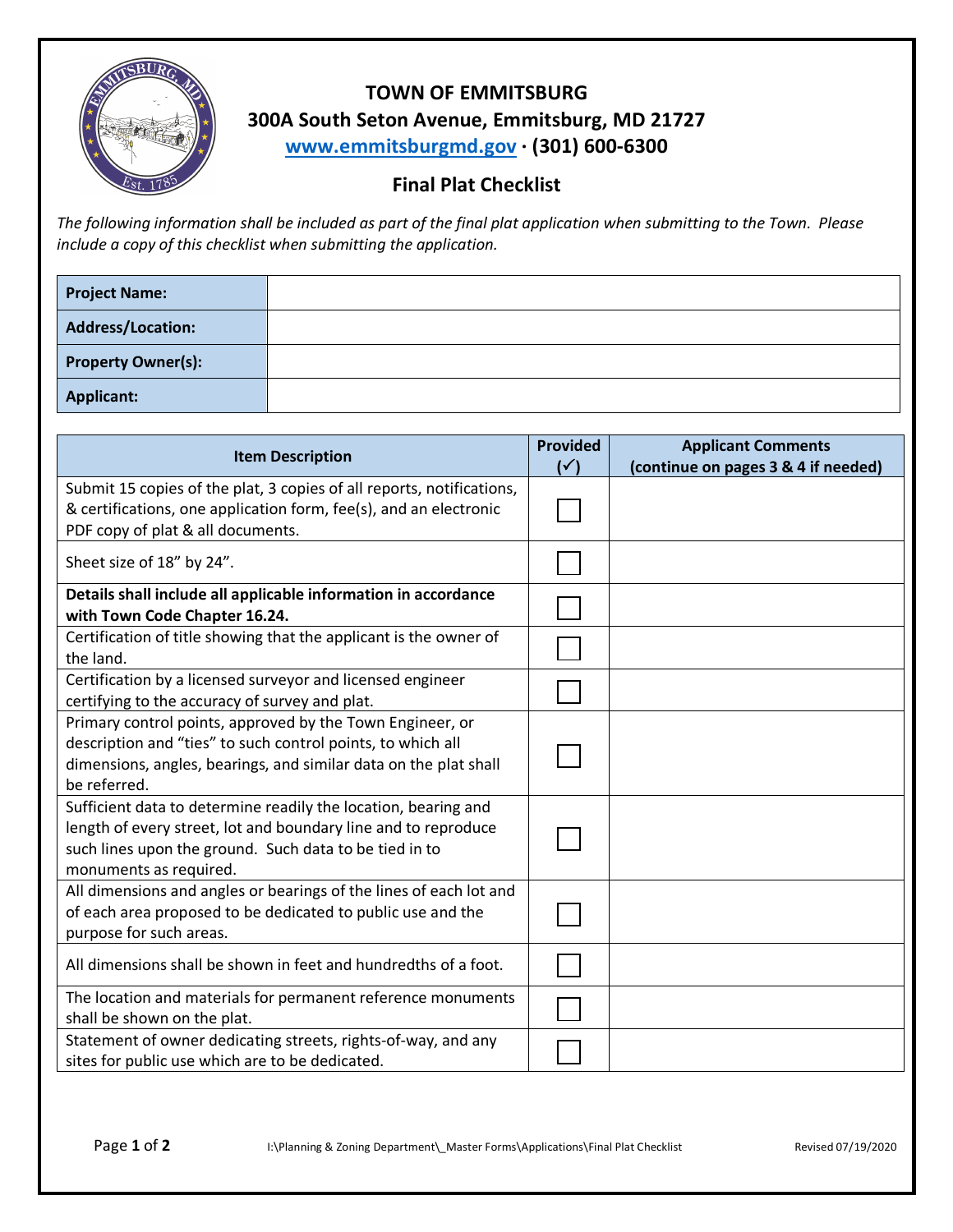

## **TOWN OF EMMITSBURG 300A South Seton Avenue, Emmitsburg, MD 21727 www.emmitsburgmd.gov · (301) 600-6300**

## **Final Plat Checklist**

*The following information shall be included as part of the final plat application when submitting to the Town. Please include a copy of this checklist when submitting the application.* 

| <b>Project Name:</b>      |  |
|---------------------------|--|
| Address/Location:         |  |
| <b>Property Owner(s):</b> |  |
| <b>Applicant:</b>         |  |

| <b>Item Description</b>                                                                                                                                                                                              |  | <b>Applicant Comments</b><br>(continue on pages 3 & 4 if needed) |
|----------------------------------------------------------------------------------------------------------------------------------------------------------------------------------------------------------------------|--|------------------------------------------------------------------|
| Submit 15 copies of the plat, 3 copies of all reports, notifications,<br>& certifications, one application form, fee(s), and an electronic<br>PDF copy of plat & all documents.                                      |  |                                                                  |
| Sheet size of 18" by 24".                                                                                                                                                                                            |  |                                                                  |
| Details shall include all applicable information in accordance<br>with Town Code Chapter 16.24.                                                                                                                      |  |                                                                  |
| Certification of title showing that the applicant is the owner of<br>the land.                                                                                                                                       |  |                                                                  |
| Certification by a licensed surveyor and licensed engineer<br>certifying to the accuracy of survey and plat.                                                                                                         |  |                                                                  |
| Primary control points, approved by the Town Engineer, or<br>description and "ties" to such control points, to which all<br>dimensions, angles, bearings, and similar data on the plat shall<br>be referred.         |  |                                                                  |
| Sufficient data to determine readily the location, bearing and<br>length of every street, lot and boundary line and to reproduce<br>such lines upon the ground. Such data to be tied in to<br>monuments as required. |  |                                                                  |
| All dimensions and angles or bearings of the lines of each lot and<br>of each area proposed to be dedicated to public use and the<br>purpose for such areas.                                                         |  |                                                                  |
| All dimensions shall be shown in feet and hundredths of a foot.                                                                                                                                                      |  |                                                                  |
| The location and materials for permanent reference monuments<br>shall be shown on the plat.                                                                                                                          |  |                                                                  |
| Statement of owner dedicating streets, rights-of-way, and any<br>sites for public use which are to be dedicated.                                                                                                     |  |                                                                  |